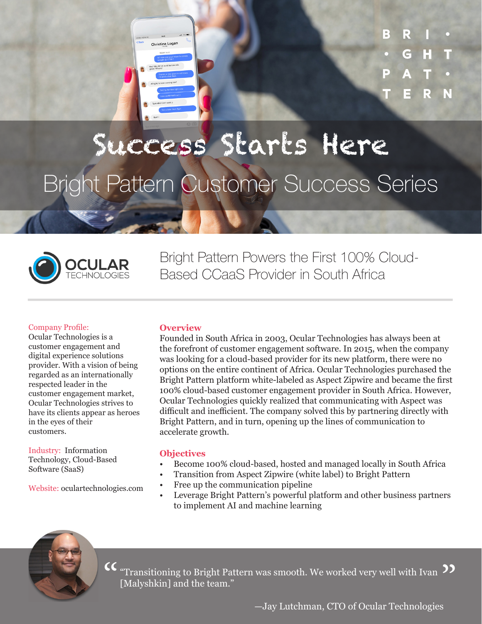Christina Log

R

# Success Starts Here Bright Pattern Customer Success Series



Bright Pattern Powers the First 100% Cloud-Based CCaaS Provider in South Africa

#### Company Profile:

Ocular Technologies is a customer engagement and digital experience solutions provider. With a vision of being regarded as an internationally respected leader in the customer engagement market, Ocular Technologies strives to have its clients appear as heroes in the eyes of their customers.

Industry: Information Technology, Cloud-Based Software (SaaS)

Website: oculartechnologies.com

#### **Overview**

Founded in South Africa in 2003, Ocular Technologies has always been at the forefront of customer engagement software. In 2015, when the company was looking for a cloud-based provider for its new platform, there were no options on the entire continent of Africa. Ocular Technologies purchased the Bright Pattern platform white-labeled as Aspect Zipwire and became the first 100% cloud-based customer engagement provider in South Africa. However, Ocular Technologies quickly realized that communicating with Aspect was difficult and inefficient. The company solved this by partnering directly with Bright Pattern, and in turn, opening up the lines of communication to accelerate growth.

## **Objectives**

- Become 100% cloud-based, hosted and managed locally in South Africa
- Transition from Aspect Zipwire (white label) to Bright Pattern
- Free up the communication pipeline
- Leverage Bright Pattern's powerful platform and other business partners to implement AI and machine learning



"Transitioning to Bright Pattern was smooth. We worked very well with Ivan [Malyshkin] and the team."  $\textsf{CC}\text{ "Transitioning to Bright Pattern was smooth. We worked very well with Ivan }\textsf{D}\textsf{[Malyshkin]}$  and the team."

—Jay Lutchman, CTO of Ocular Technologies